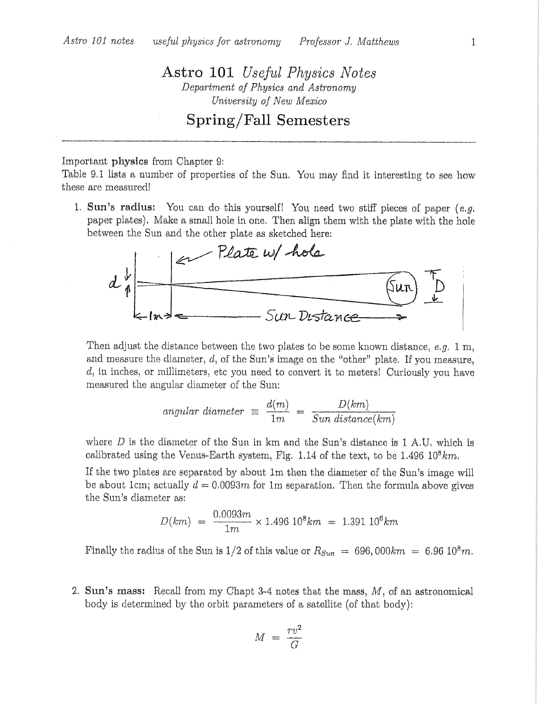Astro 101 Useful Physics Notes Department of Physics and Astronomy University of New Mexico

## Spring/Fall Semesters

## Important physics from Chapter 9:

Table 9.1 lists a number of properties of the Sun. You may find it interesting to see how these are measured!

1. Sun's radius: You can do this yourself! You need two stiff pieces of paper  $(e.g.,\)$ paper plates). Make a small hole in one. Then align them with the plate with the hole between the Sun and the other plate as sketched here:



Then adjust the distance between the two plates to be some known distance, e.g. 1 m, and measure the diameter,  $d$ , of the Sun's image on the "other" plate. If you measure, d, in inches, or millimeters, etc you need to convert it to meters! Curiously you have measured the angular diameter of the Sun:

angular diameter 
$$
\equiv \frac{d(m)}{1m} = \frac{D(km)}{Sun distance(km)}
$$

where D is the diameter of the Sun in km and the Sun's distance is 1 A.U, which is calibrated using the Venus-Earth system, Fig. 1.14 of the text, to be  $1.496\ 10^8 km$ .

If the two plates are separated by about 1m then the diameter of the Sun's image will be about 1cm; actually  $d = 0.0093m$  for 1m separation. Then the formula above gives the Sun's diameter as:

$$
D(km) = \frac{0.0093m}{1m} \times 1.496 \, 10^8 \, km = 1.391 \, 10^6 \, km
$$

Finally the radius of the Sun is 1/2 of this value or  $R_{Sun} = 696,000km = 6.9610^8m$ .

2. Sun's mass: Recall from my Chapt 3-4 notes that the mass,  $M$ , of an astronomical body is determined by the orbit parameters of a satellite (of that body):

$$
M = \frac{rv^2}{G}
$$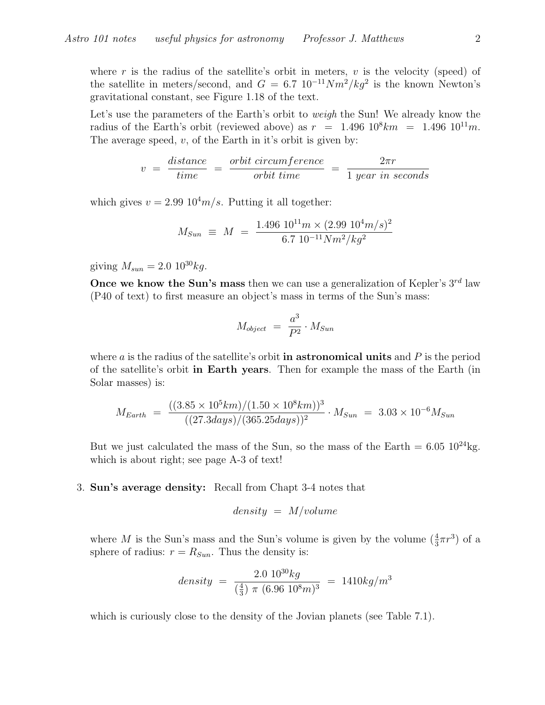where r is the radius of the satellite's orbit in meters,  $v$  is the velocity (speed) of the satellite in meters/second, and  $G = 6.7 \; 10^{-11} Nm^2/kg^2$  is the known Newton's gravitational constant, see Figure 1.18 of the text.

Let's use the parameters of the Earth's orbit to *weigh* the Sun! We already know the radius of the Earth's orbit (reviewed above) as  $r = 1.496 \; 10^8 km = 1.496 \; 10^{11} m$ . The average speed,  $v$ , of the Earth in it's orbit is given by:

$$
v = \frac{distance}{time} = \frac{orbit\ circumference}{orbit\ time} = \frac{2\pi r}{1\ year\ in\ seconds}
$$

which gives  $v = 2.99 \; 10^4 m/s$ . Putting it all together:

$$
M_{Sun} \equiv M = \frac{1.496 \, 10^{11} m \times (2.99 \, 10^4 m/s)^2}{6.7 \, 10^{-11} N m^2/kg^2}
$$

giving  $M_{sun} = 2.0 \, 10^{30} kg$ .

Once we know the Sun's mass then we can use a generalization of Kepler's  $3^{rd}$  law (P40 of text) to first measure an object's mass in terms of the Sun's mass:

$$
M_{object} = \frac{a^3}{P^2} \cdot M_{Sun}
$$

where  $a$  is the radius of the satellite's orbit in astronomical units and  $P$  is the period of the satellite's orbit in Earth years. Then for example the mass of the Earth (in Solar masses) is:

$$
M_{Earth} = \frac{((3.85 \times 10^5 km)/(1.50 \times 10^8 km))^3}{((27.3 days)/(365.25 days))^2} \cdot M_{Sun} = 3.03 \times 10^{-6} M_{Sun}
$$

But we just calculated the mass of the Sun, so the mass of the Earth =  $6.05 \frac{10^{24} \text{kg}}{10^{24} \text{kg}}$ . which is about right; see page A-3 of text!

## 3. Sun's average density: Recall from Chapt 3-4 notes that

$$
density = M/volume
$$

where M is the Sun's mass and the Sun's volume is given by the volume  $(\frac{4}{3}\pi r^3)$  of a sphere of radius:  $r = R_{Sun}$ . Thus the density is:

$$
density = \frac{2.0 \, 10^{30} kg}{\left(\frac{4}{3}\right) \, \pi \, \left(6.96 \, 10^8 m\right)^3} = 1410 kg/m^3
$$

which is curiously close to the density of the Jovian planets (see Table 7.1).